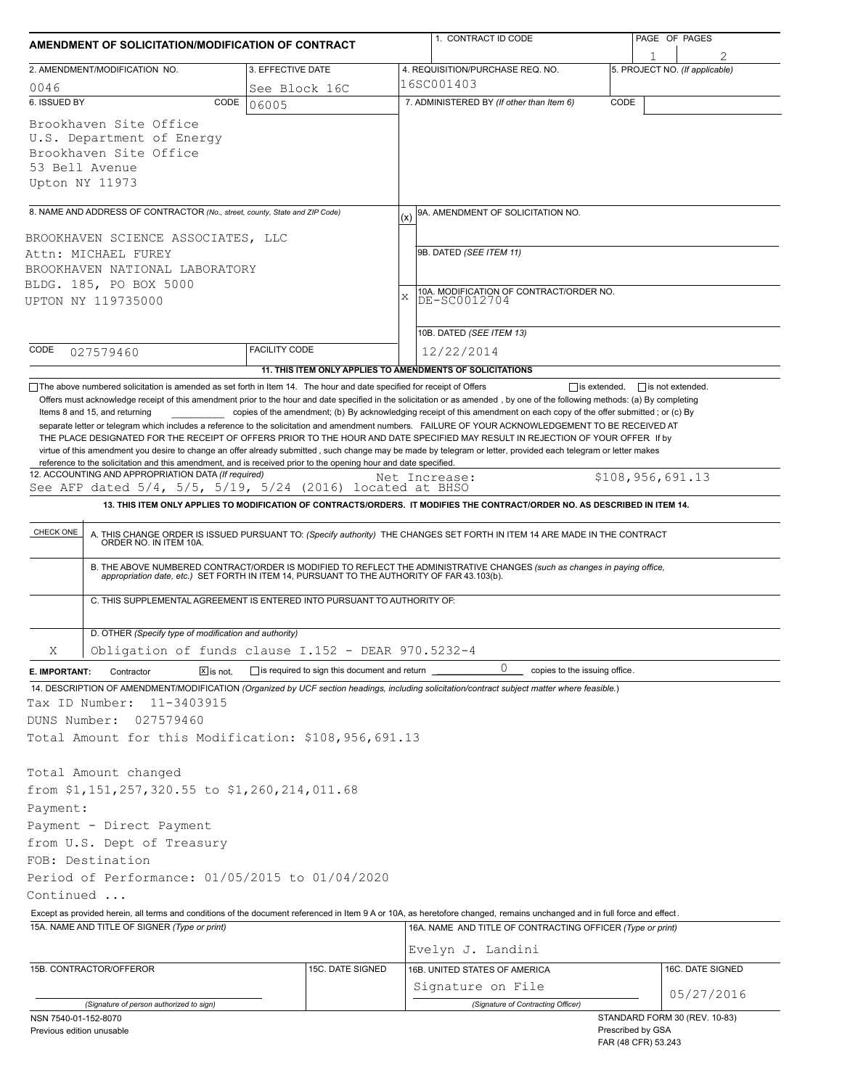| AMENDMENT OF SOLICITATION/MODIFICATION OF CONTRACT                                   |                                                                             |                                                                                                                                                                              |  | 1. CONTRACT ID CODE                                                                                                                                                                                                   |                     | PAGE OF PAGES                            |                                |  |
|--------------------------------------------------------------------------------------|-----------------------------------------------------------------------------|------------------------------------------------------------------------------------------------------------------------------------------------------------------------------|--|-----------------------------------------------------------------------------------------------------------------------------------------------------------------------------------------------------------------------|---------------------|------------------------------------------|--------------------------------|--|
| 3. EFFECTIVE DATE<br>2. AMENDMENT/MODIFICATION NO.                                   |                                                                             |                                                                                                                                                                              |  | 4. REQUISITION/PURCHASE REQ. NO.                                                                                                                                                                                      |                     |                                          | 5. PROJECT NO. (If applicable) |  |
| 0046                                                                                 |                                                                             | See Block 16C                                                                                                                                                                |  | 16SC001403                                                                                                                                                                                                            |                     |                                          |                                |  |
| 6. ISSUED BY                                                                         | CODE                                                                        | 06005                                                                                                                                                                        |  | 7. ADMINISTERED BY (If other than Item 6)                                                                                                                                                                             | CODE                |                                          |                                |  |
| Brookhaven Site Office<br>Brookhaven Site Office<br>53 Bell Avenue<br>Upton NY 11973 | U.S. Department of Energy                                                   |                                                                                                                                                                              |  |                                                                                                                                                                                                                       |                     |                                          |                                |  |
|                                                                                      | 8. NAME AND ADDRESS OF CONTRACTOR (No., street, county, State and ZIP Code) |                                                                                                                                                                              |  | 9A. AMENDMENT OF SOLICITATION NO.                                                                                                                                                                                     |                     |                                          |                                |  |
|                                                                                      |                                                                             |                                                                                                                                                                              |  | (x)                                                                                                                                                                                                                   |                     |                                          |                                |  |
| BROOKHAVEN SCIENCE ASSOCIATES, LLC<br>Attn: MICHAEL FUREY                            |                                                                             |                                                                                                                                                                              |  | 9B. DATED (SEE ITEM 11)                                                                                                                                                                                               |                     |                                          |                                |  |
|                                                                                      | BROOKHAVEN NATIONAL LABORATORY                                              |                                                                                                                                                                              |  | 10A. MODIFICATION OF CONTRACT/ORDER NO.<br>X<br>DE-SC0012704                                                                                                                                                          |                     |                                          |                                |  |
| BLDG. 185, PO BOX 5000                                                               |                                                                             |                                                                                                                                                                              |  |                                                                                                                                                                                                                       |                     |                                          |                                |  |
| UPTON NY 119735000                                                                   |                                                                             |                                                                                                                                                                              |  |                                                                                                                                                                                                                       |                     |                                          |                                |  |
|                                                                                      |                                                                             |                                                                                                                                                                              |  |                                                                                                                                                                                                                       |                     |                                          |                                |  |
| CODE                                                                                 |                                                                             | <b>FACILITY CODE</b>                                                                                                                                                         |  | 10B. DATED (SEE ITEM 13)                                                                                                                                                                                              |                     |                                          |                                |  |
| 027579460                                                                            |                                                                             | 11. THIS ITEM ONLY APPLIES TO AMENDMENTS OF SOLICITATIONS                                                                                                                    |  | 12/22/2014                                                                                                                                                                                                            |                     |                                          |                                |  |
|                                                                                      |                                                                             | The above numbered solicitation is amended as set forth in Item 14. The hour and date specified for receipt of Offers                                                        |  |                                                                                                                                                                                                                       | $\Box$ is extended, | $\Box$ is not extended.                  |                                |  |
| CHECK ONE                                                                            | 12. ACCOUNTING AND APPROPRIATION DATA (If required)                         | reference to the solicitation and this amendment, and is received prior to the opening hour and date specified.<br>See AFP dated 5/4, 5/5, 5/19, 5/24 (2016) located at BHSO |  | Net Increase:<br>13. THIS ITEM ONLY APPLIES TO MODIFICATION OF CONTRACTS/ORDERS. IT MODIFIES THE CONTRACT/ORDER NO. AS DESCRIBED IN ITEM 14.                                                                          |                     | \$108,956,691.13                         |                                |  |
|                                                                                      |                                                                             |                                                                                                                                                                              |  | A. THIS CHANGE ORDER IS ISSUED PURSUANT TO: (Specify authority) THE CHANGES SET FORTH IN ITEM 14 ARE MADE IN THE CONTRACT ORDER NO. IN ITEM 10A.                                                                      |                     |                                          |                                |  |
|                                                                                      |                                                                             |                                                                                                                                                                              |  | B. THE ABOVE NUMBERED CONTRACT/ORDER IS MODIFIED TO REFLECT THE ADMINISTRATIVE CHANGES (such as changes in paying office, appropriation date, etc.) SET FORTH IN ITEM 14, PURSUANT TO THE AUTHORITY OF FAR 43.103(b). |                     |                                          |                                |  |
|                                                                                      |                                                                             | C. THIS SUPPLEMENTAL AGREEMENT IS ENTERED INTO PURSUANT TO AUTHORITY OF:                                                                                                     |  |                                                                                                                                                                                                                       |                     |                                          |                                |  |
|                                                                                      | D. OTHER (Specify type of modification and authority)                       |                                                                                                                                                                              |  |                                                                                                                                                                                                                       |                     |                                          |                                |  |
| Χ                                                                                    |                                                                             | Obligation of funds clause I.152 - DEAR 970.5232-4                                                                                                                           |  |                                                                                                                                                                                                                       |                     |                                          |                                |  |
| E. IMPORTANT:                                                                        | Contractor<br>$X$ is not.                                                   | $\Box$ is required to sign this document and return                                                                                                                          |  | 0<br>copies to the issuing office.                                                                                                                                                                                    |                     |                                          |                                |  |
|                                                                                      |                                                                             |                                                                                                                                                                              |  | 14. DESCRIPTION OF AMENDMENT/MODIFICATION (Organized by UCF section headings, including solicitation/contract subject matter where feasible.)                                                                         |                     |                                          |                                |  |
| Tax ID Number:                                                                       | 11-3403915                                                                  |                                                                                                                                                                              |  |                                                                                                                                                                                                                       |                     |                                          |                                |  |
| DUNS Number:                                                                         | 027579460                                                                   |                                                                                                                                                                              |  |                                                                                                                                                                                                                       |                     |                                          |                                |  |
|                                                                                      |                                                                             | Total Amount for this Modification: \$108,956,691.13                                                                                                                         |  |                                                                                                                                                                                                                       |                     |                                          |                                |  |
| Total Amount changed                                                                 |                                                                             |                                                                                                                                                                              |  |                                                                                                                                                                                                                       |                     |                                          |                                |  |
|                                                                                      | from \$1,151,257,320.55 to \$1,260,214,011.68                               |                                                                                                                                                                              |  |                                                                                                                                                                                                                       |                     |                                          |                                |  |
| Payment:                                                                             |                                                                             |                                                                                                                                                                              |  |                                                                                                                                                                                                                       |                     |                                          |                                |  |
|                                                                                      | Payment - Direct Payment                                                    |                                                                                                                                                                              |  |                                                                                                                                                                                                                       |                     |                                          |                                |  |
|                                                                                      | from U.S. Dept of Treasury                                                  |                                                                                                                                                                              |  |                                                                                                                                                                                                                       |                     |                                          |                                |  |
| FOB: Destination                                                                     |                                                                             |                                                                                                                                                                              |  |                                                                                                                                                                                                                       |                     |                                          |                                |  |
|                                                                                      |                                                                             | Period of Performance: 01/05/2015 to 01/04/2020                                                                                                                              |  |                                                                                                                                                                                                                       |                     |                                          |                                |  |
| Continued                                                                            |                                                                             |                                                                                                                                                                              |  |                                                                                                                                                                                                                       |                     |                                          |                                |  |
|                                                                                      |                                                                             |                                                                                                                                                                              |  | Except as provided herein, all terms and conditions of the document referenced in Item 9 A or 10A, as heretofore changed, remains unchanged and in full force and effect.                                             |                     |                                          |                                |  |
|                                                                                      | 15A. NAME AND TITLE OF SIGNER (Type or print)                               |                                                                                                                                                                              |  | 16A. NAME AND TITLE OF CONTRACTING OFFICER (Type or print)                                                                                                                                                            |                     |                                          |                                |  |
|                                                                                      |                                                                             |                                                                                                                                                                              |  | Evelyn J. Landini                                                                                                                                                                                                     |                     |                                          |                                |  |
| 15B. CONTRACTOR/OFFEROR                                                              |                                                                             | 15C. DATE SIGNED                                                                                                                                                             |  | 16B. UNITED STATES OF AMERICA                                                                                                                                                                                         |                     |                                          | 16C. DATE SIGNED               |  |
|                                                                                      |                                                                             |                                                                                                                                                                              |  | Signature on File                                                                                                                                                                                                     |                     |                                          | 05/27/2016                     |  |
|                                                                                      | (Signature of person authorized to sign)                                    |                                                                                                                                                                              |  | (Signature of Contracting Officer)                                                                                                                                                                                    |                     |                                          |                                |  |
| NSN 7540-01-152-8070<br>Previous edition unusable                                    |                                                                             |                                                                                                                                                                              |  |                                                                                                                                                                                                                       |                     | Prescribed by GSA<br>FAR (48 CFR) 53.243 | STANDARD FORM 30 (REV. 10-83)  |  |